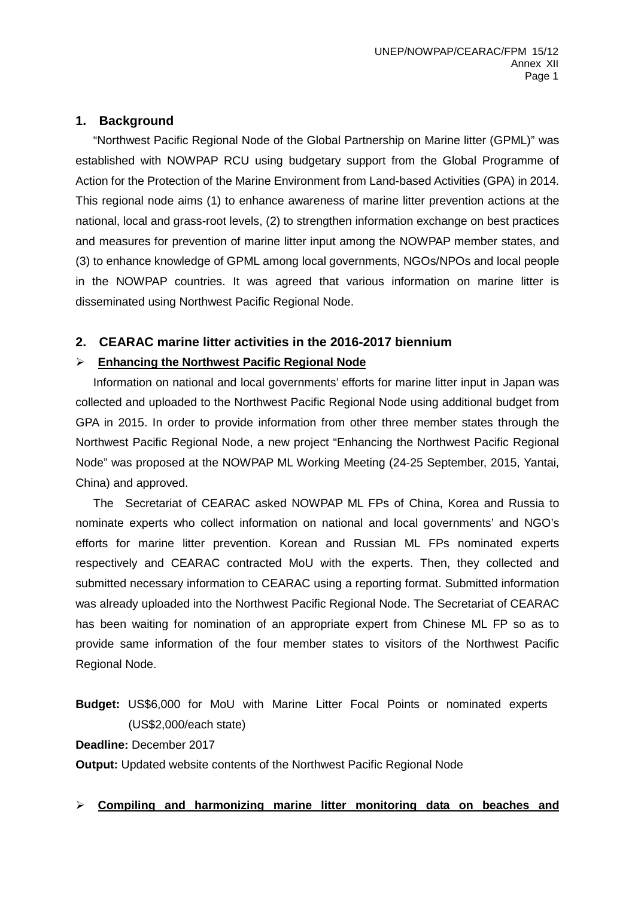## **1. Background**

"Northwest Pacific Regional Node of the Global Partnership on Marine litter (GPML)" was established with NOWPAP RCU using budgetary support from the Global Programme of Action for the Protection of the Marine Environment from Land-based Activities (GPA) in 2014. This regional node aims (1) to enhance awareness of marine litter prevention actions at the national, local and grass-root levels, (2) to strengthen information exchange on best practices and measures for prevention of marine litter input among the NOWPAP member states, and (3) to enhance knowledge of GPML among local governments, NGOs/NPOs and local people in the NOWPAP countries. It was agreed that various information on marine litter is disseminated using Northwest Pacific Regional Node.

### **2. CEARAC marine litter activities in the 2016-2017 biennium**

### **Enhancing the Northwest Pacific Regional Node**

Information on national and local governments' efforts for marine litter input in Japan was collected and uploaded to the Northwest Pacific Regional Node using additional budget from GPA in 2015. In order to provide information from other three member states through the Northwest Pacific Regional Node, a new project "Enhancing the Northwest Pacific Regional Node" was proposed at the NOWPAP ML Working Meeting (24-25 September, 2015, Yantai, China) and approved.

The Secretariat of CEARAC asked NOWPAP ML FPs of China, Korea and Russia to nominate experts who collect information on national and local governments' and NGO's efforts for marine litter prevention. Korean and Russian ML FPs nominated experts respectively and CEARAC contracted MoU with the experts. Then, they collected and submitted necessary information to CEARAC using a reporting format. Submitted information was already uploaded into the Northwest Pacific Regional Node. The Secretariat of CEARAC has been waiting for nomination of an appropriate expert from Chinese ML FP so as to provide same information of the four member states to visitors of the Northwest Pacific Regional Node.

**Budget:** US\$6,000 for MoU with Marine Litter Focal Points or nominated experts (US\$2,000/each state)

#### **Deadline:** December 2017

**Output:** Updated website contents of the Northwest Pacific Regional Node

### **Compiling and harmonizing marine litter monitoring data on beaches and**